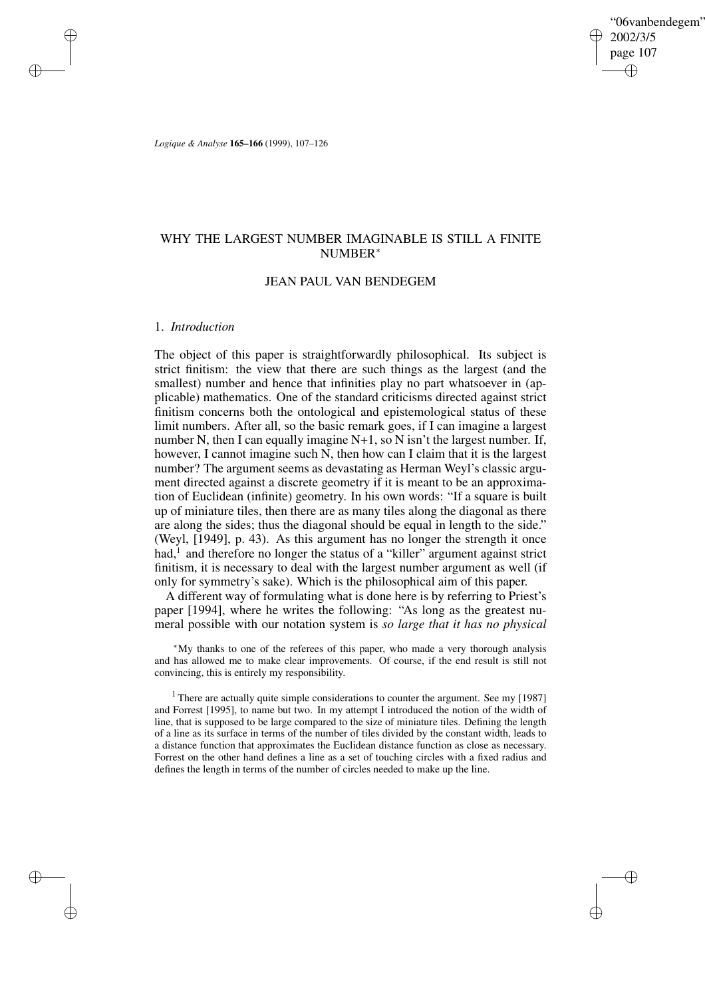"06vanbendegem" 2002/3/5 page 107 ✐ ✐

✐

✐

*Logique & Analyse* **165–166** (1999), 107–126

# WHY THE LARGEST NUMBER IMAGINABLE IS STILL A FINITE NUMBER<sup>∗</sup>

# JEAN PAUL VAN BENDEGEM

## 1. *Introduction*

✐

✐

✐

✐

The object of this paper is straightforwardly philosophical. Its subject is strict finitism: the view that there are such things as the largest (and the smallest) number and hence that infinities play no part whatsoever in (applicable) mathematics. One of the standard criticisms directed against strict finitism concerns both the ontological and epistemological status of these limit numbers. After all, so the basic remark goes, if I can imagine a largest number N, then I can equally imagine N+1, so N isn't the largest number. If, however, I cannot imagine such N, then how can I claim that it is the largest number? The argument seems as devastating as Herman Weyl's classic argument directed against a discrete geometry if it is meant to be an approximation of Euclidean (infinite) geometry. In his own words: "If a square is built up of miniature tiles, then there are as many tiles along the diagonal as there are along the sides; thus the diagonal should be equal in length to the side." (Weyl, [1949], p. 43). As this argument has no longer the strength it once had,<sup>1</sup> and therefore no longer the status of a "killer" argument against strict finitism, it is necessary to deal with the largest number argument as well (if only for symmetry's sake). Which is the philosophical aim of this paper.

A different way of formulating what is done here is by referring to Priest's paper [1994], where he writes the following: "As long as the greatest numeral possible with our notation system is *so large that it has no physical*

<sup>∗</sup>My thanks to one of the referees of this paper, who made a very thorough analysis and has allowed me to make clear improvements. Of course, if the end result is still not convincing, this is entirely my responsibility.

<sup>1</sup> There are actually quite simple considerations to counter the argument. See my [1987] and Forrest [1995], to name but two. In my attempt I introduced the notion of the width of line, that is supposed to be large compared to the size of miniature tiles. Defining the length of a line as its surface in terms of the number of tiles divided by the constant width, leads to a distance function that approximates the Euclidean distance function as close as necessary. Forrest on the other hand defines a line as a set of touching circles with a fixed radius and defines the length in terms of the number of circles needed to make up the line.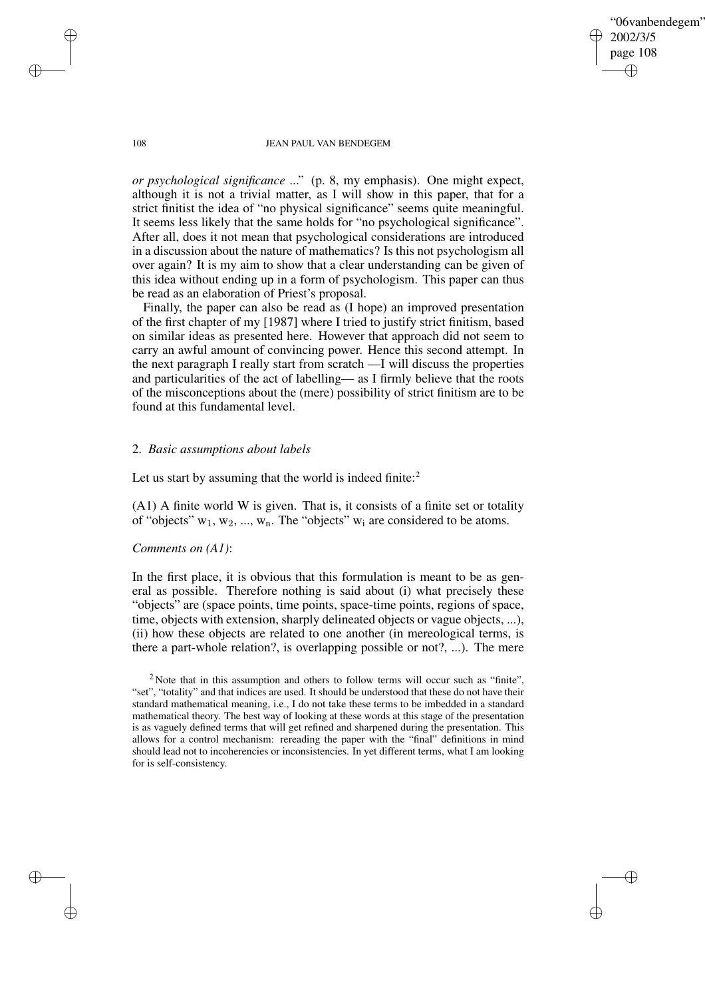"06vanbendegem" 2002/3/5 page 108 ✐ ✐

✐

✐

#### 108 JEAN PAUL VAN BENDEGEM

*or psychological significance* ..." (p. 8, my emphasis). One might expect, although it is not a trivial matter, as I will show in this paper, that for a strict finitist the idea of "no physical significance" seems quite meaningful. It seems less likely that the same holds for "no psychological significance". After all, does it not mean that psychological considerations are introduced in a discussion about the nature of mathematics? Is this not psychologism all over again? It is my aim to show that a clear understanding can be given of this idea without ending up in a form of psychologism. This paper can thus be read as an elaboration of Priest's proposal.

Finally, the paper can also be read as (I hope) an improved presentation of the first chapter of my [1987] where I tried to justify strict finitism, based on similar ideas as presented here. However that approach did not seem to carry an awful amount of convincing power. Hence this second attempt. In the next paragraph I really start from scratch —I will discuss the properties and particularities of the act of labelling— as I firmly believe that the roots of the misconceptions about the (mere) possibility of strict finitism are to be found at this fundamental level.

# 2. *Basic assumptions about labels*

Let us start by assuming that the world is indeed finite: $2$ 

(A1) A finite world W is given. That is, it consists of a finite set or totality of "objects"  $w_1, w_2, ..., w_n$ . The "objects"  $w_i$  are considered to be atoms.

## *Comments on (A1)*:

In the first place, it is obvious that this formulation is meant to be as general as possible. Therefore nothing is said about (i) what precisely these "objects" are (space points, time points, space-time points, regions of space, time, objects with extension, sharply delineated objects or vague objects, ...), (ii) how these objects are related to one another (in mereological terms, is there a part-whole relation?, is overlapping possible or not?, ...). The mere

✐

✐

✐

<sup>&</sup>lt;sup>2</sup> Note that in this assumption and others to follow terms will occur such as "finite", "set", "totality" and that indices are used. It should be understood that these do not have their standard mathematical meaning, i.e., I do not take these terms to be imbedded in a standard mathematical theory. The best way of looking at these words at this stage of the presentation is as vaguely defined terms that will get refined and sharpened during the presentation. This allows for a control mechanism: rereading the paper with the "final" definitions in mind should lead not to incoherencies or inconsistencies. In yet different terms, what I am looking for is self-consistency.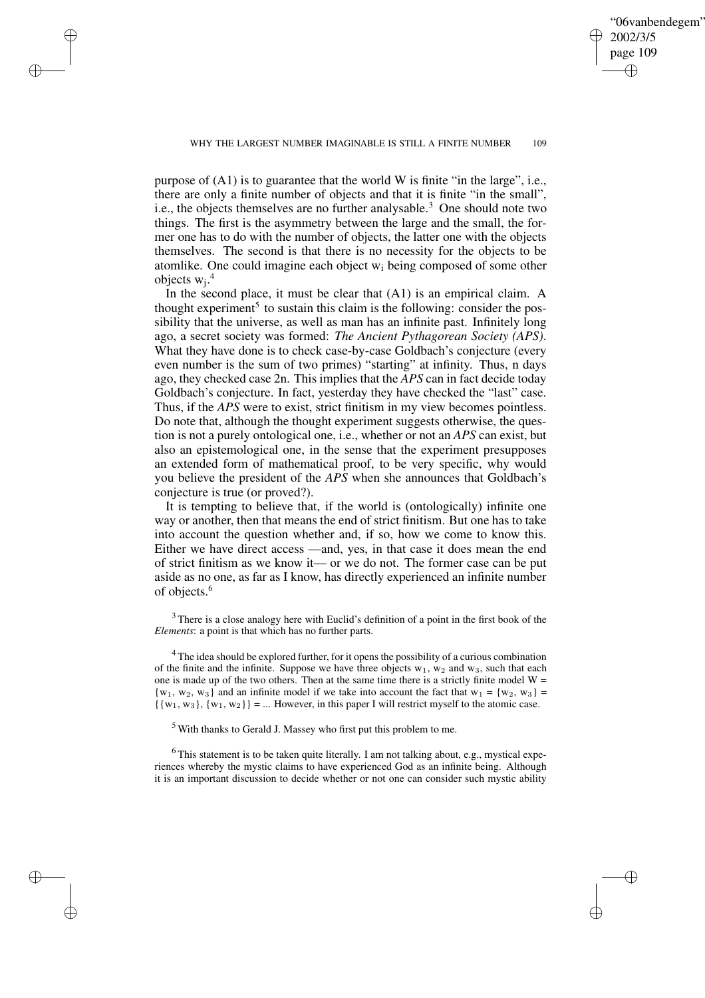✐

✐

✐

✐

✐

purpose of (A1) is to guarantee that the world W is finite "in the large", i.e., there are only a finite number of objects and that it is finite "in the small", i.e., the objects themselves are no further analysable.<sup>3</sup> One should note two things. The first is the asymmetry between the large and the small, the former one has to do with the number of objects, the latter one with the objects themselves. The second is that there is no necessity for the objects to be atomlike. One could imagine each object  $w_i$  being composed of some other objects  $w_j$ .<sup>4</sup>

In the second place, it must be clear that  $(A1)$  is an empirical claim. A thought experiment<sup>5</sup> to sustain this claim is the following: consider the possibility that the universe, as well as man has an infinite past. Infinitely long ago, a secret society was formed: *The Ancient Pythagorean Society (APS)*. What they have done is to check case-by-case Goldbach's conjecture (every even number is the sum of two primes) "starting" at infinity. Thus, n days ago, they checked case 2n. This implies that the *APS* can in fact decide today Goldbach's conjecture. In fact, yesterday they have checked the "last" case. Thus, if the *APS* were to exist, strict finitism in my view becomes pointless. Do note that, although the thought experiment suggests otherwise, the question is not a purely ontological one, i.e., whether or not an *APS* can exist, but also an epistemological one, in the sense that the experiment presupposes an extended form of mathematical proof, to be very specific, why would you believe the president of the *APS* when she announces that Goldbach's conjecture is true (or proved?).

It is tempting to believe that, if the world is (ontologically) infinite one way or another, then that means the end of strict finitism. But one has to take into account the question whether and, if so, how we come to know this. Either we have direct access —and, yes, in that case it does mean the end of strict finitism as we know it— or we do not. The former case can be put aside as no one, as far as I know, has directly experienced an infinite number of objects.<sup>6</sup>

 $3$  There is a close analogy here with Euclid's definition of a point in the first book of the *Elements*: a point is that which has no further parts.

<sup>4</sup> The idea should be explored further, for it opens the possibility of a curious combination of the finite and the infinite. Suppose we have three objects  $w_1$ ,  $w_2$  and  $w_3$ , such that each one is made up of the two others. Then at the same time there is a strictly finite model  $W =$  $\{w_1, w_2, w_3\}$  and an infinite model if we take into account the fact that  $w_1 = \{w_2, w_3\}$  $\{\{w_1, w_3\}, \{w_1, w_2\}\} = ...$  However, in this paper I will restrict myself to the atomic case.

<sup>5</sup> With thanks to Gerald J. Massey who first put this problem to me.

<sup>6</sup> This statement is to be taken quite literally. I am not talking about, e.g., mystical experiences whereby the mystic claims to have experienced God as an infinite being. Although it is an important discussion to decide whether or not one can consider such mystic ability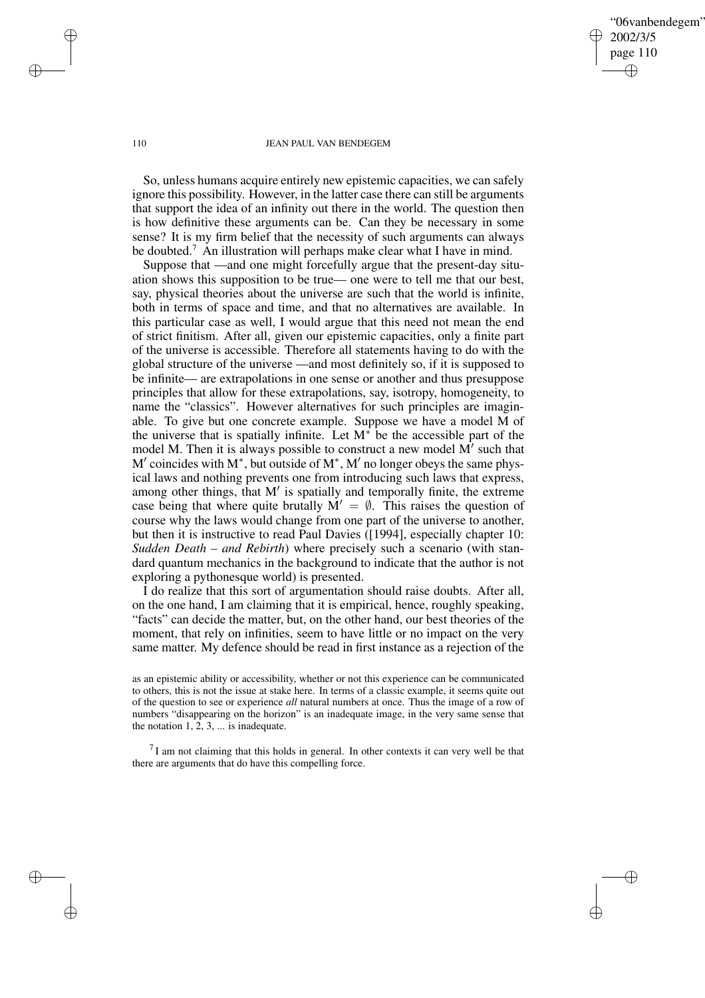"06vanbendegem" 2002/3/5 page 110 ✐ ✐

✐

✐

#### 110 JEAN PAUL VAN BENDEGEM

So, unless humans acquire entirely new epistemic capacities, we can safely ignore this possibility. However, in the latter case there can still be arguments that support the idea of an infinity out there in the world. The question then is how definitive these arguments can be. Can they be necessary in some sense? It is my firm belief that the necessity of such arguments can always be doubted.<sup>7</sup> An illustration will perhaps make clear what I have in mind.

Suppose that —and one might forcefully argue that the present-day situation shows this supposition to be true— one were to tell me that our best, say, physical theories about the universe are such that the world is infinite, both in terms of space and time, and that no alternatives are available. In this particular case as well, I would argue that this need not mean the end of strict finitism. After all, given our epistemic capacities, only a finite part of the universe is accessible. Therefore all statements having to do with the global structure of the universe —and most definitely so, if it is supposed to be infinite— are extrapolations in one sense or another and thus presuppose principles that allow for these extrapolations, say, isotropy, homogeneity, to name the "classics". However alternatives for such principles are imaginable. To give but one concrete example. Suppose we have a model M of the universe that is spatially infinite. Let M<sup>∗</sup> be the accessible part of the model M. Then it is always possible to construct a new model  $M'$  such that M' coincides with M<sup>∗</sup>, but outside of M<sup>∗</sup>, M' no longer obeys the same physical laws and nothing prevents one from introducing such laws that express, among other things, that M' is spatially and temporally finite, the extreme case being that where quite brutally  $M' = \emptyset$ . This raises the question of course why the laws would change from one part of the universe to another, but then it is instructive to read Paul Davies ([1994], especially chapter 10: *Sudden Death – and Rebirth*) where precisely such a scenario (with standard quantum mechanics in the background to indicate that the author is not exploring a pythonesque world) is presented.

I do realize that this sort of argumentation should raise doubts. After all, on the one hand, I am claiming that it is empirical, hence, roughly speaking, "facts" can decide the matter, but, on the other hand, our best theories of the moment, that rely on infinities, seem to have little or no impact on the very same matter. My defence should be read in first instance as a rejection of the

 $<sup>7</sup>I$  am not claiming that this holds in general. In other contexts it can very well be that</sup> there are arguments that do have this compelling force.

✐

✐

✐

as an epistemic ability or accessibility, whether or not this experience can be communicated to others, this is not the issue at stake here. In terms of a classic example, it seems quite out of the question to see or experience *all* natural numbers at once. Thus the image of a row of numbers "disappearing on the horizon" is an inadequate image, in the very same sense that the notation 1, 2, 3, ... is inadequate.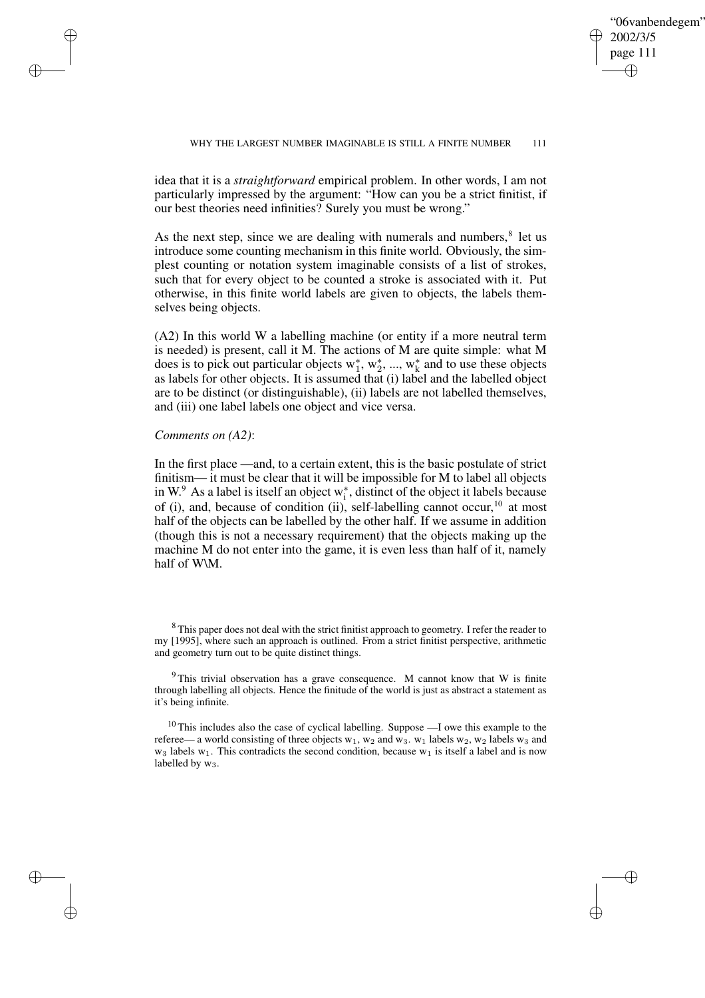✐

#### WHY THE LARGEST NUMBER IMAGINABLE IS STILL A FINITE NUMBER 111

idea that it is a *straightforward* empirical problem. In other words, I am not particularly impressed by the argument: "How can you be a strict finitist, if our best theories need infinities? Surely you must be wrong."

As the next step, since we are dealing with numerals and numbers, $<sup>8</sup>$  let us</sup> introduce some counting mechanism in this finite world. Obviously, the simplest counting or notation system imaginable consists of a list of strokes, such that for every object to be counted a stroke is associated with it. Put otherwise, in this finite world labels are given to objects, the labels themselves being objects.

(A2) In this world W a labelling machine (or entity if a more neutral term is needed) is present, call it M. The actions of M are quite simple: what M  $\frac{1}{2}$  does is to pick out particular objects  $w_1^*, w_2^*, ..., w_k^*$  $\frac{k}{k}$  and to use these objects as labels for other objects. It is assumed that (i) label and the labelled object are to be distinct (or distinguishable), (ii) labels are not labelled themselves, and (iii) one label labels one object and vice versa.

## *Comments on (A2)*:

✐

✐

✐

✐

In the first place —and, to a certain extent, this is the basic postulate of strict finitism— it must be clear that it will be impossible for M to label all objects in W. $^9$  As a label is itself an object w<sub>i</sub>  $i<sub>i</sub>$ , distinct of the object it labels because of (i), and, because of condition (ii), self-labelling cannot occur,<sup>10</sup> at most half of the objects can be labelled by the other half. If we assume in addition (though this is not a necessary requirement) that the objects making up the machine M do not enter into the game, it is even less than half of it, namely half of W\M.

<sup>8</sup> This paper does not deal with the strict finitist approach to geometry. I refer the reader to my [1995], where such an approach is outlined. From a strict finitist perspective, arithmetic and geometry turn out to be quite distinct things.

 $9$ This trivial observation has a grave consequence. M cannot know that W is finite through labelling all objects. Hence the finitude of the world is just as abstract a statement as it's being infinite.

 $10$  This includes also the case of cyclical labelling. Suppose  $-1$  owe this example to the referee— a world consisting of three objects  $w_1$ ,  $w_2$  and  $w_3$ .  $w_1$  labels  $w_2$ ,  $w_2$  labels  $w_3$  and  $w_3$  labels  $w_1$ . This contradicts the second condition, because  $w_1$  is itself a label and is now labelled by  $w_3$ .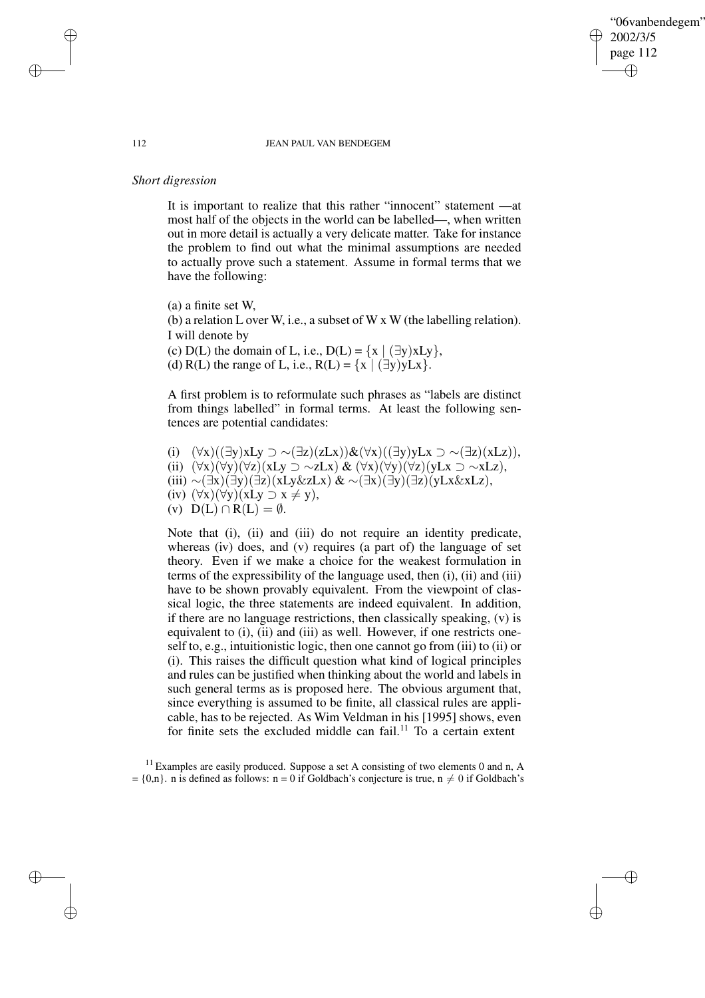"06vanbendegem" 2002/3/5 page 112 ✐ ✐

✐

✐

#### 112 JEAN PAUL VAN BENDEGEM

# *Short digression*

It is important to realize that this rather "innocent" statement —at most half of the objects in the world can be labelled—, when written out in more detail is actually a very delicate matter. Take for instance the problem to find out what the minimal assumptions are needed to actually prove such a statement. Assume in formal terms that we have the following:

(a) a finite set W, (b) a relation L over W, i.e., a subset of W x W (the labelling relation). I will denote by (c) D(L) the domain of L, i.e., D(L) =  $\{x \mid (\exists y) xLy\}$ , (d) R(L) the range of L, i.e.,  $R(L) = \{x \mid (\exists y)yLx\}.$ 

A first problem is to reformulate such phrases as "labels are distinct from things labelled" in formal terms. At least the following sentences are potential candidates:

(i)  $(\forall x)((\exists y) xLy \supset \sim (\exists z)(zLx))\& (\forall x)((\exists y)yLx \supset \sim (\exists z)(xLz)),$ (ii)  $(\forall x)(\forall y)(\forall z)(xLy \supset \sim zLx) \& (\forall x)(\forall y)(\forall z)(yLx \supset \sim xLz),$ (iii) ∼(∃x)(∃y)(∃z)(xLy&zLx) & ∼(∃x)(∃y)(∃z)(yLx&xLz), (iv)  $(\forall x)(\forall y)(xLy \supset x \neq y),$ (v)  $D(L) \cap R(L) = \emptyset$ .

Note that (i), (ii) and (iii) do not require an identity predicate, whereas (iv) does, and (v) requires (a part of) the language of set theory. Even if we make a choice for the weakest formulation in terms of the expressibility of the language used, then (i), (ii) and (iii) have to be shown provably equivalent. From the viewpoint of classical logic, the three statements are indeed equivalent. In addition, if there are no language restrictions, then classically speaking, (v) is equivalent to (i), (ii) and (iii) as well. However, if one restricts oneself to, e.g., intuitionistic logic, then one cannot go from (iii) to (ii) or (i). This raises the difficult question what kind of logical principles and rules can be justified when thinking about the world and labels in such general terms as is proposed here. The obvious argument that, since everything is assumed to be finite, all classical rules are applicable, has to be rejected. As Wim Veldman in his [1995] shows, even for finite sets the excluded middle can fail.<sup>11</sup> To a certain extent

 $11$  Examples are easily produced. Suppose a set A consisting of two elements 0 and n, A  $= \{0,n\}$ . n is defined as follows: n = 0 if Goldbach's conjecture is true, n  $\neq 0$  if Goldbach's

✐

✐

✐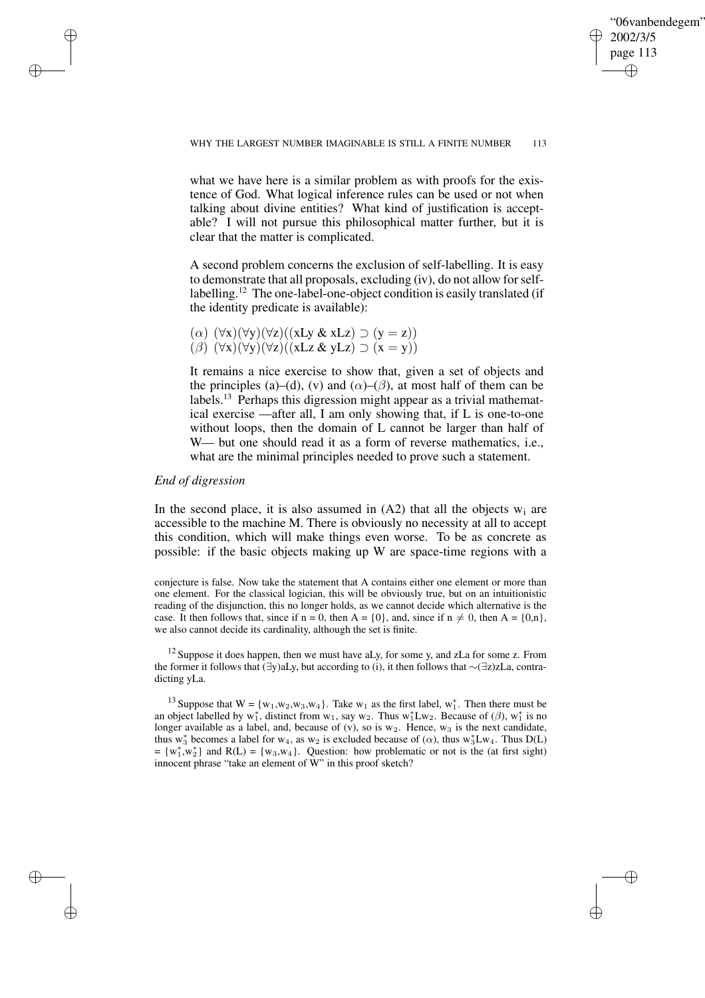✐

what we have here is a similar problem as with proofs for the existence of God. What logical inference rules can be used or not when talking about divine entities? What kind of justification is acceptable? I will not pursue this philosophical matter further, but it is clear that the matter is complicated.

A second problem concerns the exclusion of self-labelling. It is easy to demonstrate that all proposals, excluding (iv), do not allow forselflabelling.<sup>12</sup> The one-label-one-object condition is easily translated (if the identity predicate is available):

( $\alpha$ )  $(\forall x)(\forall y)(\forall z)((xLy & xLz) \supset (y = z))$  $(\beta)^{2}(\forall x)(\forall y)(\forall z)((xLz \& yLz) \supset (x = y))$ 

It remains a nice exercise to show that, given a set of objects and the principles (a)–(d), (v) and ( $\alpha$ )–( $\beta$ ), at most half of them can be labels.<sup>13</sup> Perhaps this digression might appear as a trivial mathematical exercise —after all, I am only showing that, if L is one-to-one without loops, then the domain of L cannot be larger than half of W— but one should read it as a form of reverse mathematics, *i.e.*, what are the minimal principles needed to prove such a statement.

## *End of digression*

✐

✐

✐

✐

In the second place, it is also assumed in  $(A2)$  that all the objects  $w_i$  are accessible to the machine M. There is obviously no necessity at all to accept this condition, which will make things even worse. To be as concrete as possible: if the basic objects making up W are space-time regions with a

conjecture is false. Now take the statement that A contains either one element or more than one element. For the classical logician, this will be obviously true, but on an intuitionistic reading of the disjunction, this no longer holds, as we cannot decide which alternative is the case. It then follows that, since if  $n = 0$ , then  $A = \{0\}$ , and, since if  $n \neq 0$ , then  $A = \{0, n\}$ , we also cannot decide its cardinality, although the set is finite.

 $12$  Suppose it does happen, then we must have aLy, for some y, and zLa for some z. From the former it follows that (∃y)aLy, but according to (i), it then follows that ∼(∃z)zLa, contradicting yLa.

<sup>13</sup> Suppose that  $W = \{w_1, w_2, w_3, w_4\}$ . Take  $w_1$  as the first label,  $w_1^*$ . Then there must be an object labelled by  $w_1^*$ , distinct from  $w_1$ , say  $w_2$ . Thus  $w_1^*Lw_2$ . Because of ( $\beta$ ),  $w_1^*$  is no longer available as a label, and, because of (v), so is  $w_2$ . Hence,  $w_3$  is the next candidate, thus w<sub>3</sub> becomes a label for w<sub>4</sub>, as w<sub>2</sub> is excluded because of ( $\alpha$ ), thus w<sub>3</sub><sup>\*</sup>Lw<sub>4</sub>. Thus D(L)  $= \{w_1^*, w_2^*\}$  and  $R(L) = \{w_3, w_4\}$ . Question: how problematic or not is the (at first sight) innocent phrase "take an element of W" in this proof sketch?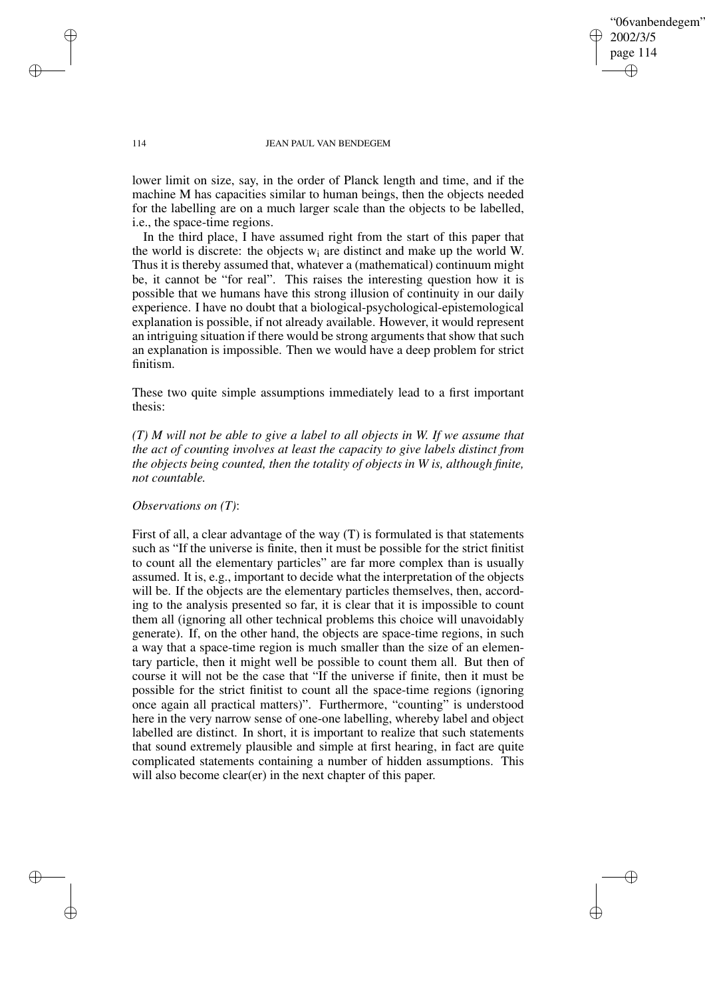"06vanbendegem" 2002/3/5 page 114 ✐ ✐

✐

✐

### 114 JEAN PAUL VAN BENDEGEM

lower limit on size, say, in the order of Planck length and time, and if the machine M has capacities similar to human beings, then the objects needed for the labelling are on a much larger scale than the objects to be labelled, i.e., the space-time regions.

In the third place, I have assumed right from the start of this paper that the world is discrete: the objects  $w_i$  are distinct and make up the world W. Thus it is thereby assumed that, whatever a (mathematical) continuum might be, it cannot be "for real". This raises the interesting question how it is possible that we humans have this strong illusion of continuity in our daily experience. I have no doubt that a biological-psychological-epistemological explanation is possible, if not already available. However, it would represent an intriguing situation if there would be strong arguments that show that such an explanation is impossible. Then we would have a deep problem for strict finitism.

These two quite simple assumptions immediately lead to a first important thesis:

*(T) M will not be able to give a label to all objects in W. If we assume that the act of counting involves at least the capacity to give labels distinct from the objects being counted, then the totality of objects in W is, although finite, not countable.*

## *Observations on (T)*:

First of all, a clear advantage of the way (T) is formulated is that statements such as "If the universe is finite, then it must be possible for the strict finitist to count all the elementary particles" are far more complex than is usually assumed. It is, e.g., important to decide what the interpretation of the objects will be. If the objects are the elementary particles themselves, then, according to the analysis presented so far, it is clear that it is impossible to count them all (ignoring all other technical problems this choice will unavoidably generate). If, on the other hand, the objects are space-time regions, in such a way that a space-time region is much smaller than the size of an elementary particle, then it might well be possible to count them all. But then of course it will not be the case that "If the universe if finite, then it must be possible for the strict finitist to count all the space-time regions (ignoring once again all practical matters)". Furthermore, "counting" is understood here in the very narrow sense of one-one labelling, whereby label and object labelled are distinct. In short, it is important to realize that such statements that sound extremely plausible and simple at first hearing, in fact are quite complicated statements containing a number of hidden assumptions. This will also become clear(er) in the next chapter of this paper.

✐

✐

✐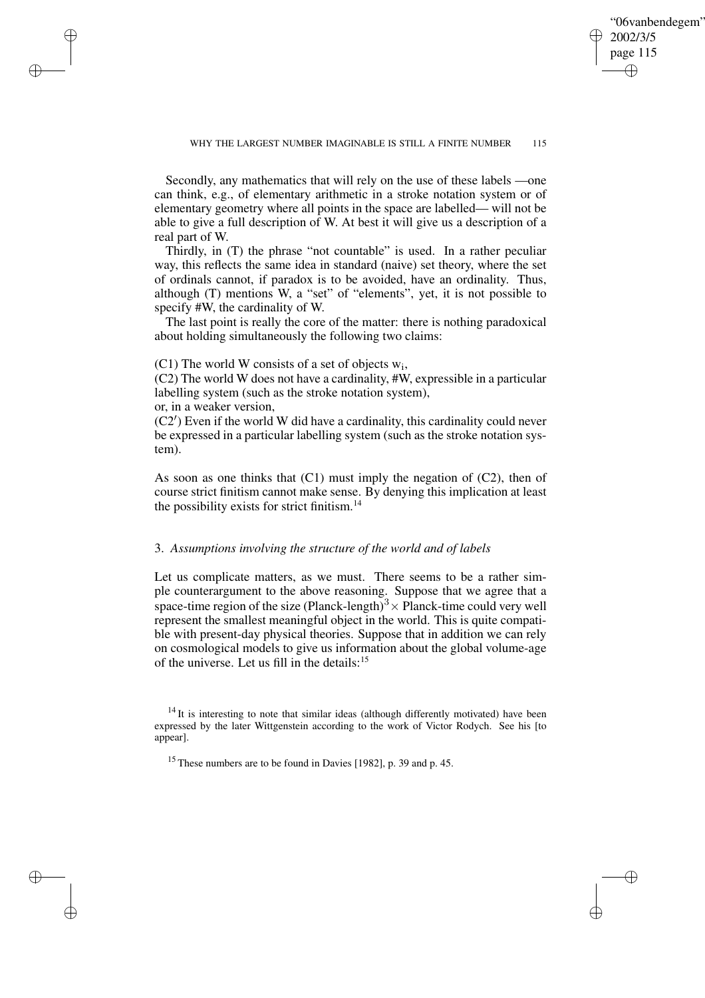✐

Secondly, any mathematics that will rely on the use of these labels —one can think, e.g., of elementary arithmetic in a stroke notation system or of elementary geometry where all points in the space are labelled— will not be able to give a full description of W. At best it will give us a description of a real part of W.

Thirdly, in (T) the phrase "not countable" is used. In a rather peculiar way, this reflects the same idea in standard (naive) set theory, where the set of ordinals cannot, if paradox is to be avoided, have an ordinality. Thus, although (T) mentions W, a "set" of "elements", yet, it is not possible to specify #W, the cardinality of W.

The last point is really the core of the matter: there is nothing paradoxical about holding simultaneously the following two claims:

 $(C1)$  The world W consists of a set of objects  $w_i$ ,

(C2) The world W does not have a cardinality, #W, expressible in a particular labelling system (such as the stroke notation system),

or, in a weaker version,

✐

✐

✐

✐

 $(C2')$  Even if the world W did have a cardinality, this cardinality could never be expressed in a particular labelling system (such as the stroke notation system).

As soon as one thinks that  $(C1)$  must imply the negation of  $(C2)$ , then of course strict finitism cannot make sense. By denying this implication at least the possibility exists for strict finitism. $14$ 

## 3. *Assumptions involving the structure of the world and of labels*

Let us complicate matters, as we must. There seems to be a rather simple counterargument to the above reasoning. Suppose that we agree that a space-time region of the size (Planck-length)<sup>3</sup>  $\times$  Planck-time could very well represent the smallest meaningful object in the world. This is quite compatible with present-day physical theories. Suppose that in addition we can rely on cosmological models to give us information about the global volume-age of the universe. Let us fill in the details:<sup>15</sup>

 $14$  It is interesting to note that similar ideas (although differently motivated) have been expressed by the later Wittgenstein according to the work of Victor Rodych. See his [to appear].

<sup>15</sup> These numbers are to be found in Davies [1982], p. 39 and p. 45.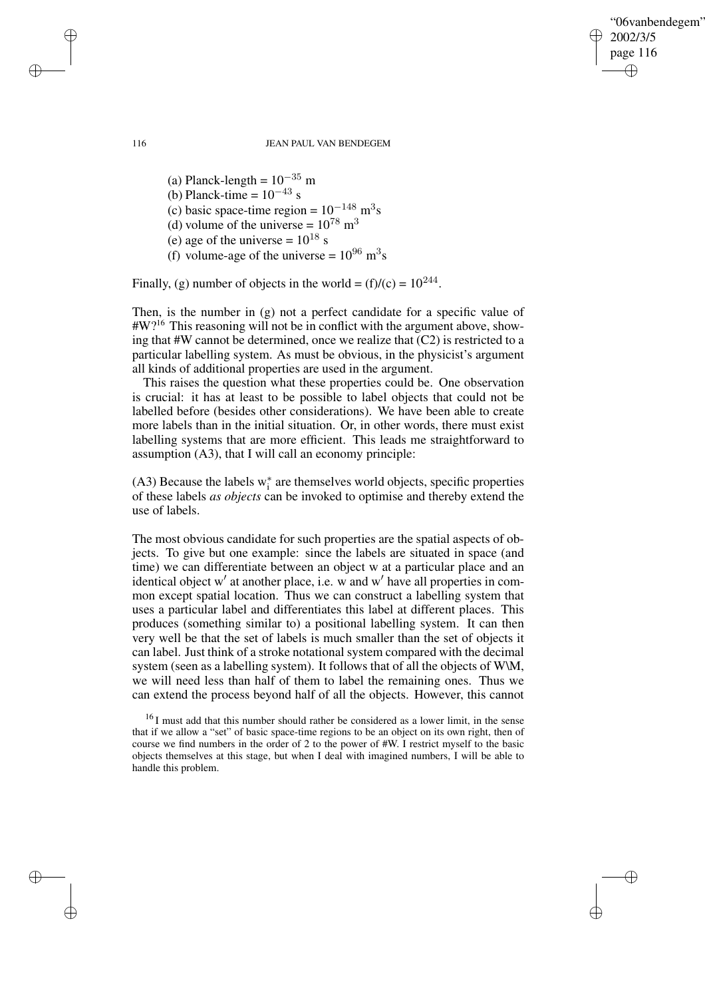✐

#### 116 JEAN PAUL VAN BENDEGEM

(a) Planck-length =  $10^{-35}$  m (b) Planck-time =  $10^{-43}$  s (c) basic space-time region =  $10^{-148}$  m<sup>3</sup>s (d) volume of the universe =  $10^{78}$  m<sup>3</sup> (e) age of the universe =  $10^{18}$  s (f) volume-age of the universe =  $10^{96}$  m<sup>3</sup>s

Finally, (g) number of objects in the world =  $(f)/(c) = 10^{244}$ .

Then, is the number in (g) not a perfect candidate for a specific value of #W?<sup>16</sup> This reasoning will not be in conflict with the argument above, showing that #W cannot be determined, once we realize that (C2) is restricted to a particular labelling system. As must be obvious, in the physicist's argument all kinds of additional properties are used in the argument.

This raises the question what these properties could be. One observation is crucial: it has at least to be possible to label objects that could not be labelled before (besides other considerations). We have been able to create more labels than in the initial situation. Or, in other words, there must exist labelling systems that are more efficient. This leads me straightforward to assumption (A3), that I will call an economy principle:

(A3) Because the labels  $w_i^*$ i are themselves world objects, specific properties of these labels *as objects* can be invoked to optimise and thereby extend the use of labels.

The most obvious candidate for such properties are the spatial aspects of objects. To give but one example: since the labels are situated in space (and time) we can differentiate between an object w at a particular place and an identical object w' at another place, i.e. w and w' have all properties in common except spatial location. Thus we can construct a labelling system that uses a particular label and differentiates this label at different places. This produces (something similar to) a positional labelling system. It can then very well be that the set of labels is much smaller than the set of objects it can label. Just think of a stroke notational system compared with the decimal system (seen as a labelling system). It follows that of all the objects of W\M, we will need less than half of them to label the remaining ones. Thus we can extend the process beyond half of all the objects. However, this cannot

✐

✐

✐

<sup>&</sup>lt;sup>16</sup> I must add that this number should rather be considered as a lower limit, in the sense that if we allow a "set" of basic space-time regions to be an object on its own right, then of course we find numbers in the order of 2 to the power of #W. I restrict myself to the basic objects themselves at this stage, but when I deal with imagined numbers, I will be able to handle this problem.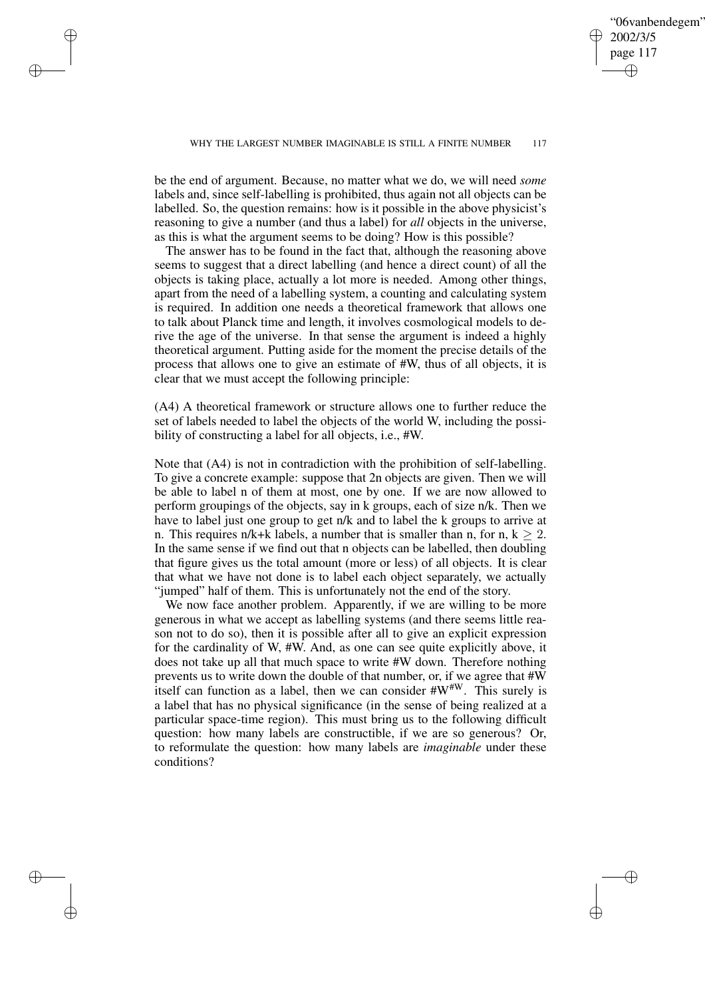✐

#### WHY THE LARGEST NUMBER IMAGINABLE IS STILL A FINITE NUMBER 117

be the end of argument. Because, no matter what we do, we will need *some* labels and, since self-labelling is prohibited, thus again not all objects can be labelled. So, the question remains: how is it possible in the above physicist's reasoning to give a number (and thus a label) for *all* objects in the universe, as this is what the argument seems to be doing? How is this possible?

✐

✐

✐

✐

The answer has to be found in the fact that, although the reasoning above seems to suggest that a direct labelling (and hence a direct count) of all the objects is taking place, actually a lot more is needed. Among other things, apart from the need of a labelling system, a counting and calculating system is required. In addition one needs a theoretical framework that allows one to talk about Planck time and length, it involves cosmological models to derive the age of the universe. In that sense the argument is indeed a highly theoretical argument. Putting aside for the moment the precise details of the process that allows one to give an estimate of #W, thus of all objects, it is clear that we must accept the following principle:

(A4) A theoretical framework or structure allows one to further reduce the set of labels needed to label the objects of the world W, including the possibility of constructing a label for all objects, i.e., #W.

Note that (A4) is not in contradiction with the prohibition of self-labelling. To give a concrete example: suppose that 2n objects are given. Then we will be able to label n of them at most, one by one. If we are now allowed to perform groupings of the objects, say in k groups, each of size n/k. Then we have to label just one group to get n/k and to label the k groups to arrive at n. This requires n/k+k labels, a number that is smaller than n, for n,  $k \ge 2$ . In the same sense if we find out that n objects can be labelled, then doubling that figure gives us the total amount (more or less) of all objects. It is clear that what we have not done is to label each object separately, we actually "jumped" half of them. This is unfortunately not the end of the story.

We now face another problem. Apparently, if we are willing to be more generous in what we accept as labelling systems (and there seems little reason not to do so), then it is possible after all to give an explicit expression for the cardinality of W, #W. And, as one can see quite explicitly above, it does not take up all that much space to write #W down. Therefore nothing prevents us to write down the double of that number, or, if we agree that #W itself can function as a label, then we can consider  $\#W^{\#W}$ . This surely is a label that has no physical significance (in the sense of being realized at a particular space-time region). This must bring us to the following difficult question: how many labels are constructible, if we are so generous? Or, to reformulate the question: how many labels are *imaginable* under these conditions?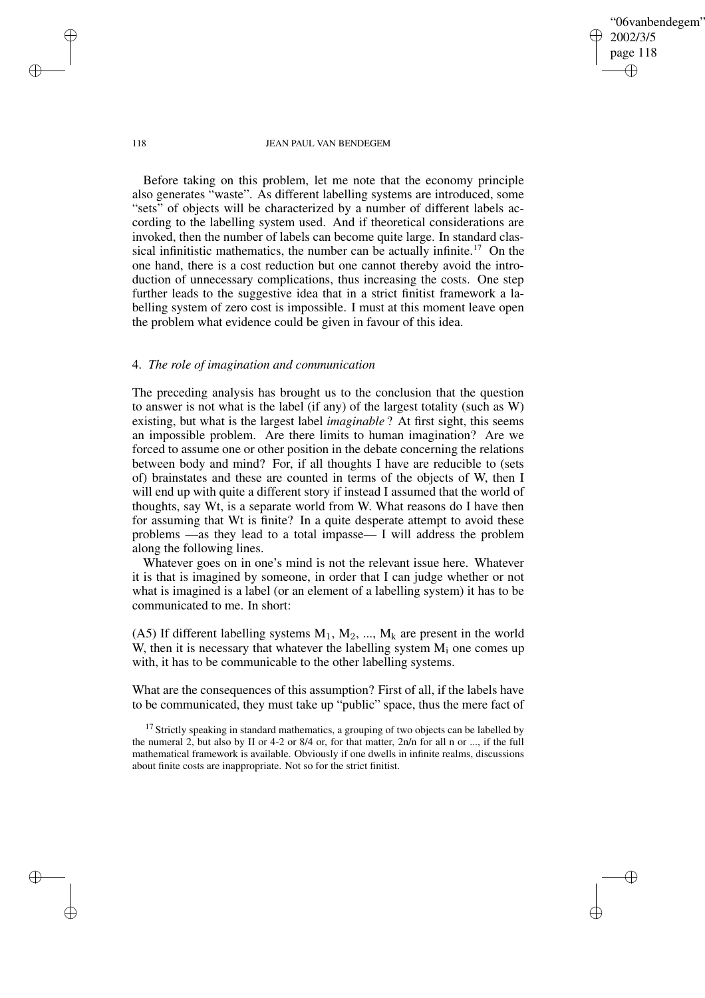"06vanbendegem" 2002/3/5 page 118 ✐ ✐

✐

✐

#### 118 JEAN PAUL VAN BENDEGEM

Before taking on this problem, let me note that the economy principle also generates "waste". As different labelling systems are introduced, some "sets" of objects will be characterized by a number of different labels according to the labelling system used. And if theoretical considerations are invoked, then the number of labels can become quite large. In standard classical infinitistic mathematics, the number can be actually infinite.<sup>17</sup> On the one hand, there is a cost reduction but one cannot thereby avoid the introduction of unnecessary complications, thus increasing the costs. One step further leads to the suggestive idea that in a strict finitist framework a labelling system of zero cost is impossible. I must at this moment leave open the problem what evidence could be given in favour of this idea.

## 4. *The role of imagination and communication*

The preceding analysis has brought us to the conclusion that the question to answer is not what is the label (if any) of the largest totality (such as W) existing, but what is the largest label *imaginable* ? At first sight, this seems an impossible problem. Are there limits to human imagination? Are we forced to assume one or other position in the debate concerning the relations between body and mind? For, if all thoughts I have are reducible to (sets of) brainstates and these are counted in terms of the objects of W, then I will end up with quite a different story if instead I assumed that the world of thoughts, say Wt, is a separate world from W. What reasons do I have then for assuming that Wt is finite? In a quite desperate attempt to avoid these problems —as they lead to a total impasse— I will address the problem along the following lines.

Whatever goes on in one's mind is not the relevant issue here. Whatever it is that is imagined by someone, in order that I can judge whether or not what is imagined is a label (or an element of a labelling system) it has to be communicated to me. In short:

(A5) If different labelling systems  $M_1$ ,  $M_2$ , ...,  $M_k$  are present in the world W, then it is necessary that whatever the labelling system  $M_i$  one comes up with, it has to be communicable to the other labelling systems.

What are the consequences of this assumption? First of all, if the labels have to be communicated, they must take up "public" space, thus the mere fact of

<sup>17</sup> Strictly speaking in standard mathematics, a grouping of two objects can be labelled by the numeral 2, but also by II or 4-2 or 8/4 or, for that matter, 2n/n for all n or ..., if the full mathematical framework is available. Obviously if one dwells in infinite realms, discussions about finite costs are inappropriate. Not so for the strict finitist.

✐

✐

✐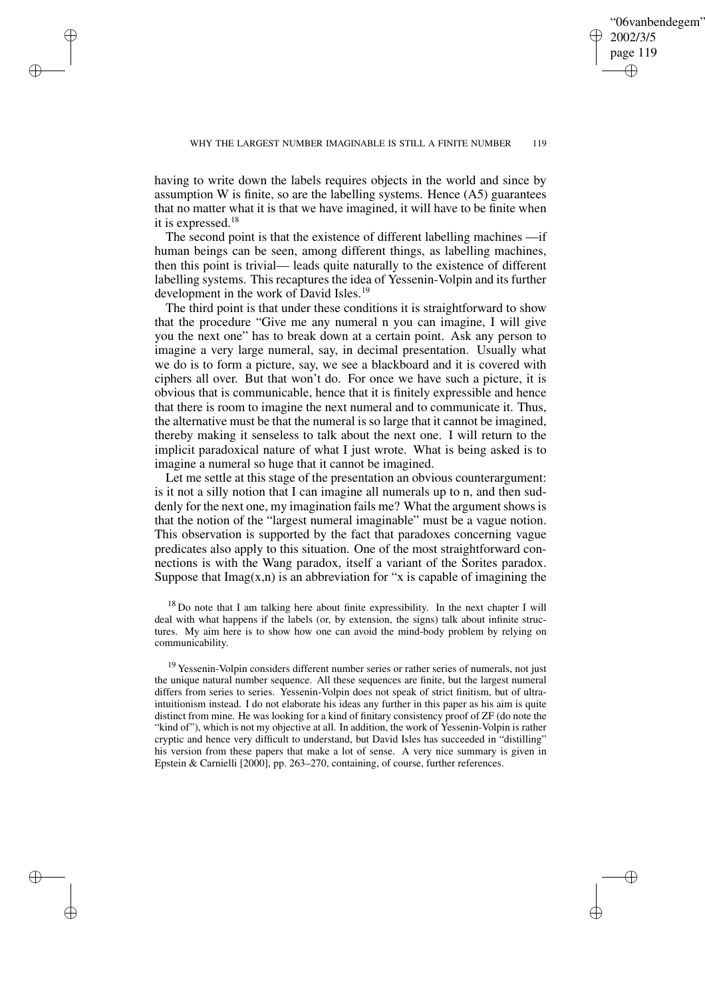✐

having to write down the labels requires objects in the world and since by assumption W is finite, so are the labelling systems. Hence (A5) guarantees that no matter what it is that we have imagined, it will have to be finite when it is expressed.<sup>18</sup>

✐

✐

✐

✐

The second point is that the existence of different labelling machines —if human beings can be seen, among different things, as labelling machines, then this point is trivial— leads quite naturally to the existence of different labelling systems. This recaptures the idea of Yessenin-Volpin and its further development in the work of David Isles.<sup>19</sup>

The third point is that under these conditions it is straightforward to show that the procedure "Give me any numeral n you can imagine, I will give you the next one" has to break down at a certain point. Ask any person to imagine a very large numeral, say, in decimal presentation. Usually what we do is to form a picture, say, we see a blackboard and it is covered with ciphers all over. But that won't do. For once we have such a picture, it is obvious that is communicable, hence that it is finitely expressible and hence that there is room to imagine the next numeral and to communicate it. Thus, the alternative must be that the numeral is so large that it cannot be imagined, thereby making it senseless to talk about the next one. I will return to the implicit paradoxical nature of what I just wrote. What is being asked is to imagine a numeral so huge that it cannot be imagined.

Let me settle at this stage of the presentation an obvious counterargument: is it not a silly notion that I can imagine all numerals up to n, and then suddenly for the next one, my imagination fails me? What the argument shows is that the notion of the "largest numeral imaginable" must be a vague notion. This observation is supported by the fact that paradoxes concerning vague predicates also apply to this situation. One of the most straightforward connections is with the Wang paradox, itself a variant of the Sorites paradox. Suppose that  $\text{Imag}(x, n)$  is an abbreviation for "x is capable of imagining the

 $18$  Do note that I am talking here about finite expressibility. In the next chapter I will deal with what happens if the labels (or, by extension, the signs) talk about infinite structures. My aim here is to show how one can avoid the mind-body problem by relying on communicability.

<sup>19</sup> Yessenin-Volpin considers different number series or rather series of numerals, not just the unique natural number sequence. All these sequences are finite, but the largest numeral differs from series to series. Yessenin-Volpin does not speak of strict finitism, but of ultraintuitionism instead. I do not elaborate his ideas any further in this paper as his aim is quite distinct from mine. He was looking for a kind of finitary consistency proof of ZF (do note the "kind of"), which is not my objective at all. In addition, the work of Yessenin-Volpin is rather cryptic and hence very difficult to understand, but David Isles has succeeded in "distilling" his version from these papers that make a lot of sense. A very nice summary is given in Epstein & Carnielli [2000], pp. 263–270, containing, of course, further references.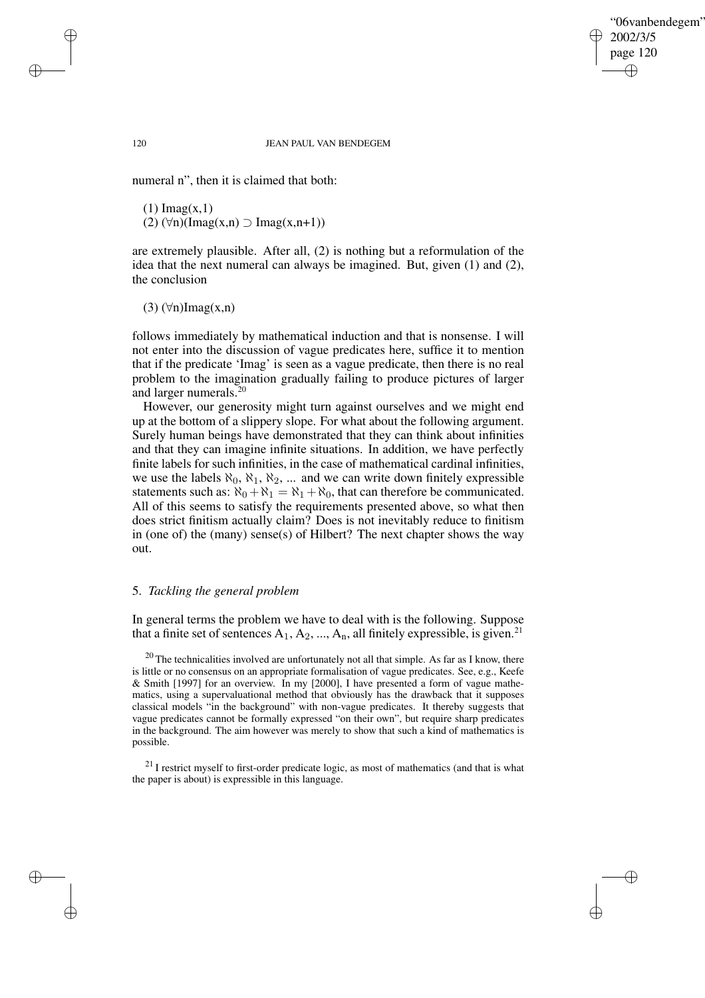✐

#### 120 JEAN PAUL VAN BENDEGEM

numeral n", then it is claimed that both:

 $(1)$  Imag $(x,1)$ (2)  $(\forall n)(\text{Imag}(x,n) \supset \text{Imag}(x,n+1))$ 

are extremely plausible. After all, (2) is nothing but a reformulation of the idea that the next numeral can always be imagined. But, given (1) and (2), the conclusion

 $(3)$  ( $\forall$ n)Imag(x,n)

follows immediately by mathematical induction and that is nonsense. I will not enter into the discussion of vague predicates here, suffice it to mention that if the predicate 'Imag' is seen as a vague predicate, then there is no real problem to the imagination gradually failing to produce pictures of larger and larger numerals.<sup>20</sup>

However, our generosity might turn against ourselves and we might end up at the bottom of a slippery slope. For what about the following argument. Surely human beings have demonstrated that they can think about infinities and that they can imagine infinite situations. In addition, we have perfectly finite labels for such infinities, in the case of mathematical cardinal infinities, we use the labels  $\aleph_0$ ,  $\aleph_1$ ,  $\aleph_2$ , ... and we can write down finitely expressible statements such as:  $\aleph_0 + \aleph_1 = \aleph_1 + \aleph_0$ , that can therefore be communicated. All of this seems to satisfy the requirements presented above, so what then does strict finitism actually claim? Does is not inevitably reduce to finitism in (one of) the (many) sense(s) of Hilbert? The next chapter shows the way out.

## 5. *Tackling the general problem*

In general terms the problem we have to deal with is the following. Suppose that a finite set of sentences  $A_1, A_2, ..., A_n$ , all finitely expressible, is given.<sup>21</sup>

 $20$  The technicalities involved are unfortunately not all that simple. As far as I know, there is little or no consensus on an appropriate formalisation of vague predicates. See, e.g., Keefe & Smith [1997] for an overview. In my [2000], I have presented a form of vague mathematics, using a supervaluational method that obviously has the drawback that it supposes classical models "in the background" with non-vague predicates. It thereby suggests that vague predicates cannot be formally expressed "on their own", but require sharp predicates in the background. The aim however was merely to show that such a kind of mathematics is possible.

 $21$  I restrict myself to first-order predicate logic, as most of mathematics (and that is what the paper is about) is expressible in this language.

✐

✐

✐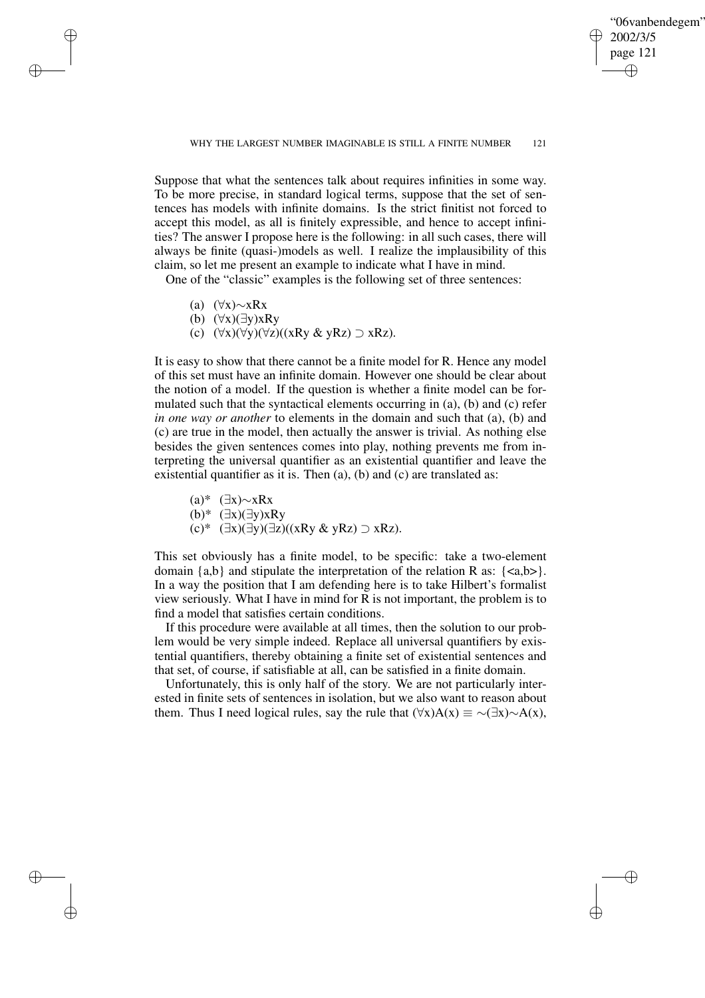✐

### WHY THE LARGEST NUMBER IMAGINABLE IS STILL A FINITE NUMBER 121

Suppose that what the sentences talk about requires infinities in some way. To be more precise, in standard logical terms, suppose that the set of sentences has models with infinite domains. Is the strict finitist not forced to accept this model, as all is finitely expressible, and hence to accept infinities? The answer I propose here is the following: in all such cases, there will always be finite (quasi-)models as well. I realize the implausibility of this claim, so let me present an example to indicate what I have in mind.

One of the "classic" examples is the following set of three sentences:

(a) (∀x)∼xRx

✐

✐

✐

✐

- (b) (∀x)(∃y)xRy
- (c)  $(\forall x)(\forall y)(\forall z)((xRy & yRz) \supset xRz).$

It is easy to show that there cannot be a finite model for R. Hence any model of this set must have an infinite domain. However one should be clear about the notion of a model. If the question is whether a finite model can be formulated such that the syntactical elements occurring in (a), (b) and (c) refer *in one way or another* to elements in the domain and such that (a), (b) and (c) are true in the model, then actually the answer is trivial. As nothing else besides the given sentences comes into play, nothing prevents me from interpreting the universal quantifier as an existential quantifier and leave the existential quantifier as it is. Then (a), (b) and (c) are translated as:

(a)\* (∃x)∼xRx

(b)\* (∃x)(∃y)xRy

(c)\* (∃x)(∃y)(∃z)((xRy & yRz) ⊃ xRz).

This set obviously has a finite model, to be specific: take a two-element domain  $\{a,b\}$  and stipulate the interpretation of the relation R as:  $\{\langle a,b\rangle\}$ . In a way the position that I am defending here is to take Hilbert's formalist view seriously. What I have in mind for R is not important, the problem is to find a model that satisfies certain conditions.

If this procedure were available at all times, then the solution to our problem would be very simple indeed. Replace all universal quantifiers by existential quantifiers, thereby obtaining a finite set of existential sentences and that set, of course, if satisfiable at all, can be satisfied in a finite domain.

Unfortunately, this is only half of the story. We are not particularly interested in finite sets of sentences in isolation, but we also want to reason about them. Thus I need logical rules, say the rule that  $(\forall x)A(x) \equiv \sim (\exists x) \sim A(x)$ ,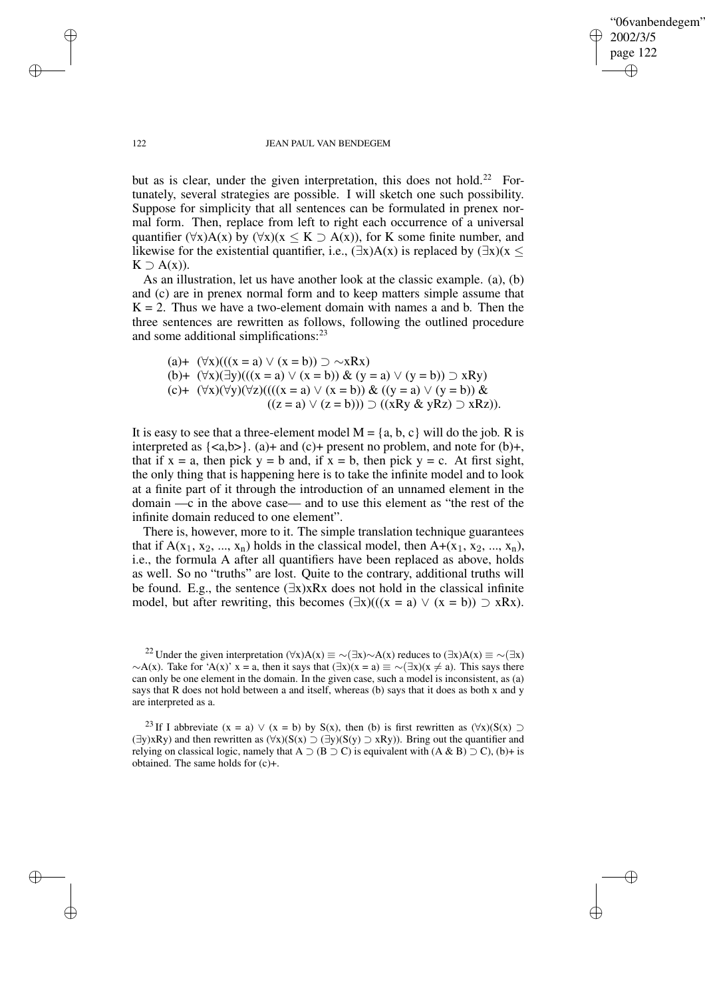"06vanbendegem" 2002/3/5 page 122 ✐ ✐

✐

✐

#### 122 JEAN PAUL VAN BENDEGEM

but as is clear, under the given interpretation, this does not hold.<sup>22</sup> Fortunately, several strategies are possible. I will sketch one such possibility. Suppose for simplicity that all sentences can be formulated in prenex normal form. Then, replace from left to right each occurrence of a universal quantifier  $(\forall x)A(x)$  by  $(\forall x)(x \leq K \supset A(x))$ , for K some finite number, and likewise for the existential quantifier, i.e.,  $(\exists x)A(x)$  is replaced by  $(\exists x)(x \leq x)$  $K \supseteq A(x)$ ).

As an illustration, let us have another look at the classic example. (a), (b) and (c) are in prenex normal form and to keep matters simple assume that  $K = 2$ . Thus we have a two-element domain with names a and b. Then the three sentences are rewritten as follows, following the outlined procedure and some additional simplifications:<sup>23</sup>

(a)+  $(\forall x)((x = a) \lor (x = b)) \supset \sim xRx)$ (b)+  $(\forall x)(\exists y)((x = a) \lor (x = b)) \& (y = a) \lor (y = b)) \supset xRy$ (c)+  $(\forall x)(\forall y)(\forall z)(((x = a) \lor (x = b)) \& ((y = a) \lor (y = b)) \&$  $((z = a) \vee (z = b))) \supset ((xRy & gRz) \supset xRz)).$ 

It is easy to see that a three-element model  $M = \{a, b, c\}$  will do the job. R is interpreted as  $\{\langle a,b\rangle\}$ . (a)+ and (c)+ present no problem, and note for (b)+, that if  $x = a$ , then pick  $y = b$  and, if  $x = b$ , then pick  $y = c$ . At first sight, the only thing that is happening here is to take the infinite model and to look at a finite part of it through the introduction of an unnamed element in the domain —c in the above case— and to use this element as "the rest of the infinite domain reduced to one element".

There is, however, more to it. The simple translation technique guarantees that if  $A(x_1, x_2, ..., x_n)$  holds in the classical model, then  $A+(x_1, x_2, ..., x_n)$ , i.e., the formula A after all quantifiers have been replaced as above, holds as well. So no "truths" are lost. Quite to the contrary, additional truths will be found. E.g., the sentence (∃x)xRx does not hold in the classical infinite model, but after rewriting, this becomes  $(\exists x)((x = a) \lor (x = b)) \supset xRx)$ .

<sup>22</sup> Under the given interpretation ( $\forall x$ )A(x) ≡ ∼( $\exists x$ )∼A(x) reduces to ( $\exists x$ )A(x) ≡ ∼( $\exists x$ )  $~\sim$ A(x). Take for 'A(x)' x = a, then it says that  $(\exists x)(x = a) \equiv \sim (\exists x)(x \neq a)$ . This says there can only be one element in the domain. In the given case, such a model is inconsistent, as (a) says that R does not hold between a and itself, whereas (b) says that it does as both x and y are interpreted as a.

<sup>23</sup> If I abbreviate (x = a)  $\vee$  (x = b) by S(x), then (b) is first rewritten as  $(\forall x)(S(x) \supset$ (∃y)xRy) and then rewritten as (∀x)(S(x) ⊃ (∃y)(S(y) ⊃ xRy)). Bring out the quantifier and relying on classical logic, namely that A  $\supset$  (B  $\supset$  C) is equivalent with (A & B)  $\supset$  C), (b)+ is obtained. The same holds for (c)+.

✐

✐

✐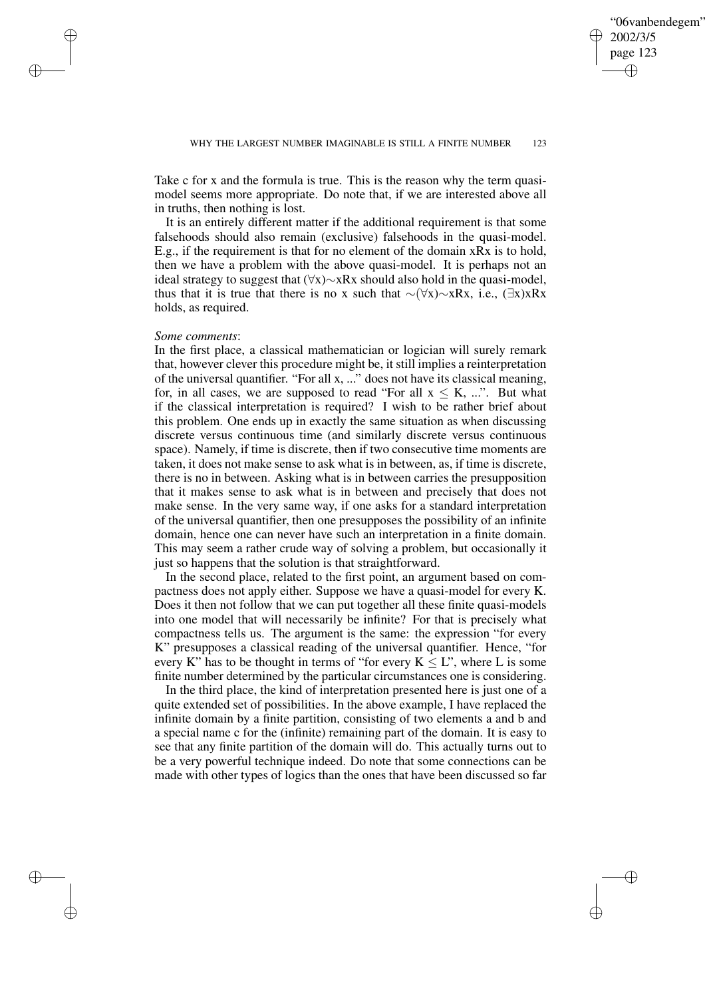✐

Take c for x and the formula is true. This is the reason why the term quasimodel seems more appropriate. Do note that, if we are interested above all in truths, then nothing is lost.

It is an entirely different matter if the additional requirement is that some falsehoods should also remain (exclusive) falsehoods in the quasi-model. E.g., if the requirement is that for no element of the domain xRx is to hold, then we have a problem with the above quasi-model. It is perhaps not an ideal strategy to suggest that (∀x)∼xRx should also hold in the quasi-model, thus that it is true that there is no x such that  $\sim$ (∀x)∼xRx, i.e., (∃x)xRx holds, as required.

## *Some comments*:

✐

✐

✐

✐

In the first place, a classical mathematician or logician will surely remark that, however clever this procedure might be, it still implies a reinterpretation of the universal quantifier. "For all x, ..." does not have its classical meaning, for, in all cases, we are supposed to read "For all  $x \leq K$ , ...". But what if the classical interpretation is required? I wish to be rather brief about this problem. One ends up in exactly the same situation as when discussing discrete versus continuous time (and similarly discrete versus continuous space). Namely, if time is discrete, then if two consecutive time moments are taken, it does not make sense to ask what is in between, as, if time is discrete, there is no in between. Asking what is in between carries the presupposition that it makes sense to ask what is in between and precisely that does not make sense. In the very same way, if one asks for a standard interpretation of the universal quantifier, then one presupposes the possibility of an infinite domain, hence one can never have such an interpretation in a finite domain. This may seem a rather crude way of solving a problem, but occasionally it just so happens that the solution is that straightforward.

In the second place, related to the first point, an argument based on compactness does not apply either. Suppose we have a quasi-model for every K. Does it then not follow that we can put together all these finite quasi-models into one model that will necessarily be infinite? For that is precisely what compactness tells us. The argument is the same: the expression "for every K" presupposes a classical reading of the universal quantifier. Hence, "for every K" has to be thought in terms of "for every  $K \leq L$ ", where L is some finite number determined by the particular circumstances one is considering.

In the third place, the kind of interpretation presented here is just one of a quite extended set of possibilities. In the above example, I have replaced the infinite domain by a finite partition, consisting of two elements a and b and a special name c for the (infinite) remaining part of the domain. It is easy to see that any finite partition of the domain will do. This actually turns out to be a very powerful technique indeed. Do note that some connections can be made with other types of logics than the ones that have been discussed so far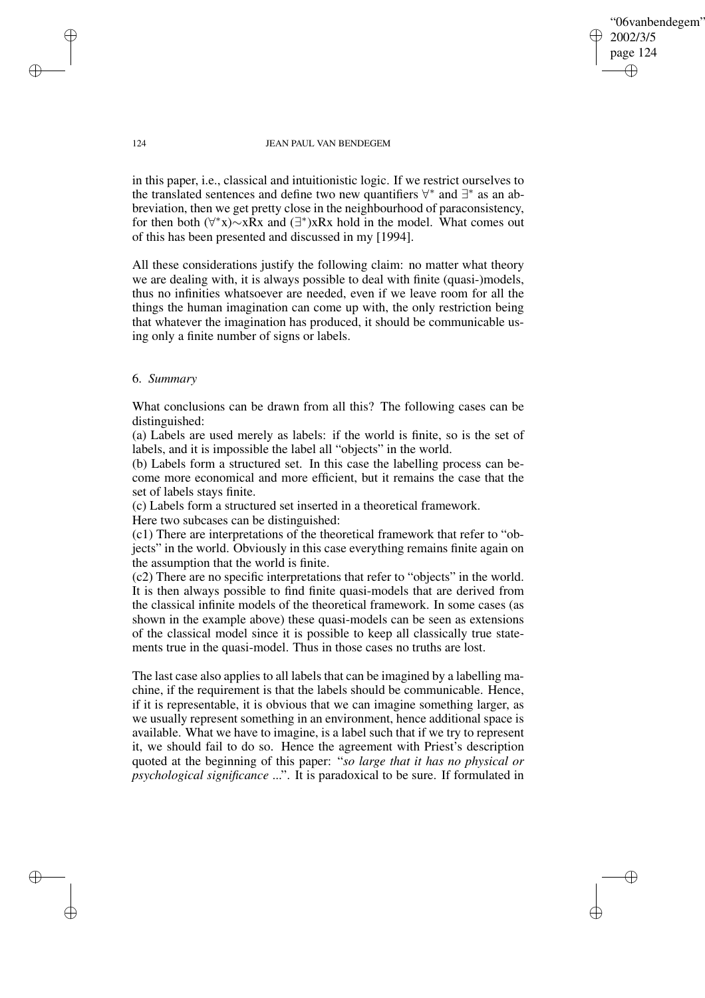✐

#### 124 JEAN PAUL VAN BENDEGEM

in this paper, i.e., classical and intuitionistic logic. If we restrict ourselves to the translated sentences and define two new quantifiers  $\forall^*$  and  $\exists^*$  as an abbreviation, then we get pretty close in the neighbourhood of paraconsistency, for then both  $(\forall^*x) \sim xRx$  and  $(\exists^*)xRx$  hold in the model. What comes out of this has been presented and discussed in my [1994].

All these considerations justify the following claim: no matter what theory we are dealing with, it is always possible to deal with finite (quasi-)models, thus no infinities whatsoever are needed, even if we leave room for all the things the human imagination can come up with, the only restriction being that whatever the imagination has produced, it should be communicable using only a finite number of signs or labels.

# 6. *Summary*

What conclusions can be drawn from all this? The following cases can be distinguished:

(a) Labels are used merely as labels: if the world is finite, so is the set of labels, and it is impossible the label all "objects" in the world.

(b) Labels form a structured set. In this case the labelling process can become more economical and more efficient, but it remains the case that the set of labels stays finite.

(c) Labels form a structured set inserted in a theoretical framework.

Here two subcases can be distinguished:

(c1) There are interpretations of the theoretical framework that refer to "objects" in the world. Obviously in this case everything remains finite again on the assumption that the world is finite.

(c2) There are no specific interpretations that refer to "objects" in the world. It is then always possible to find finite quasi-models that are derived from the classical infinite models of the theoretical framework. In some cases (as shown in the example above) these quasi-models can be seen as extensions of the classical model since it is possible to keep all classically true statements true in the quasi-model. Thus in those cases no truths are lost.

The last case also applies to all labels that can be imagined by a labelling machine, if the requirement is that the labels should be communicable. Hence, if it is representable, it is obvious that we can imagine something larger, as we usually represent something in an environment, hence additional space is available. What we have to imagine, is a label such that if we try to represent it, we should fail to do so. Hence the agreement with Priest's description quoted at the beginning of this paper: "*so large that it has no physical or psychological significance* ...". It is paradoxical to be sure. If formulated in

✐

✐

✐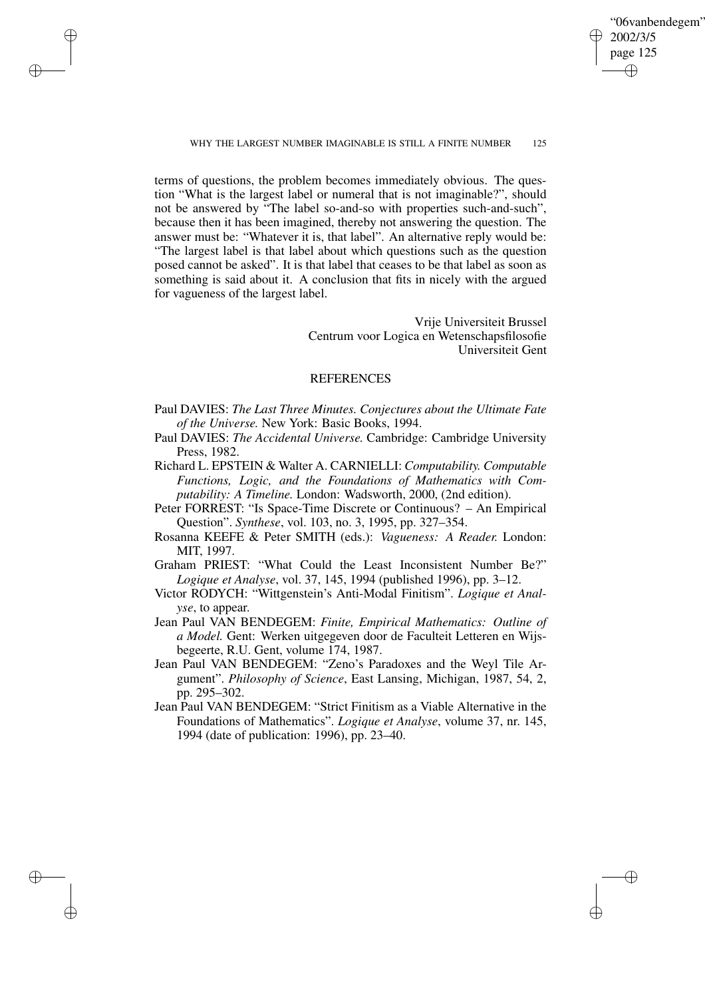"06vanbendegem" 2002/3/5 page 125 ✐ ✐

✐

✐

✐

✐

✐

✐

terms of questions, the problem becomes immediately obvious. The question "What is the largest label or numeral that is not imaginable?", should not be answered by "The label so-and-so with properties such-and-such", because then it has been imagined, thereby not answering the question. The answer must be: "Whatever it is, that label". An alternative reply would be: "The largest label is that label about which questions such as the question posed cannot be asked". It is that label that ceases to be that label as soon as something is said about it. A conclusion that fits in nicely with the argued for vagueness of the largest label.

> Vrije Universiteit Brussel Centrum voor Logica en Wetenschapsfilosofie Universiteit Gent

## REFERENCES

- Paul DAVIES: *The Last Three Minutes. Conjectures about the Ultimate Fate of the Universe.* New York: Basic Books, 1994.
- Paul DAVIES: *The Accidental Universe.* Cambridge: Cambridge University Press, 1982.
- Richard L. EPSTEIN & Walter A. CARNIELLI: *Computability. Computable Functions, Logic, and the Foundations of Mathematics with Computability: A Timeline.* London: Wadsworth, 2000, (2nd edition).
- Peter FORREST: "Is Space-Time Discrete or Continuous? An Empirical Question". *Synthese*, vol. 103, no. 3, 1995, pp. 327–354.
- Rosanna KEEFE & Peter SMITH (eds.): *Vagueness: A Reader.* London: MIT, 1997.
- Graham PRIEST: "What Could the Least Inconsistent Number Be?" *Logique et Analyse*, vol. 37, 145, 1994 (published 1996), pp. 3–12.
- Victor RODYCH: "Wittgenstein's Anti-Modal Finitism". *Logique et Analyse*, to appear.
- Jean Paul VAN BENDEGEM: *Finite, Empirical Mathematics: Outline of a Model.* Gent: Werken uitgegeven door de Faculteit Letteren en Wijsbegeerte, R.U. Gent, volume 174, 1987.
- Jean Paul VAN BENDEGEM: "Zeno's Paradoxes and the Weyl Tile Argument". *Philosophy of Science*, East Lansing, Michigan, 1987, 54, 2, pp. 295–302.
- Jean Paul VAN BENDEGEM: "Strict Finitism as a Viable Alternative in the Foundations of Mathematics". *Logique et Analyse*, volume 37, nr. 145, 1994 (date of publication: 1996), pp. 23–40.